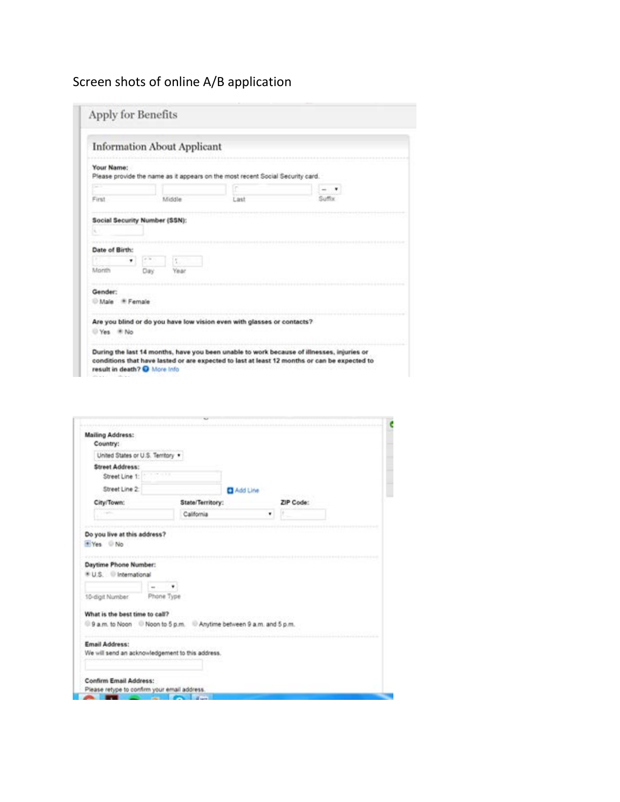## Screen shots of online A/B application

|                                   |     | <b>Information About Applicant</b> |                                                                                |        |  |
|-----------------------------------|-----|------------------------------------|--------------------------------------------------------------------------------|--------|--|
| Your Name:                        |     |                                    | Please provide the name as it appears on the most recent Social Security card. |        |  |
|                                   |     |                                    |                                                                                |        |  |
| First                             |     | Middle                             | Last                                                                           | Suffix |  |
|                                   | Day | Year                               |                                                                                |        |  |
|                                   |     |                                    |                                                                                |        |  |
|                                   |     |                                    |                                                                                |        |  |
|                                   |     |                                    |                                                                                |        |  |
| Month<br>Gender:<br>Male # Female |     |                                    | Are you blind or do you have low vision even with glasses or contacts?         |        |  |

| <b>Mailing Address:</b><br>Country:                                       |                  |          |           |  |
|---------------------------------------------------------------------------|------------------|----------|-----------|--|
| United States or U.S. Territory *                                         |                  |          |           |  |
| <b>Street Address:</b>                                                    |                  |          |           |  |
| Street Line 1:                                                            |                  |          |           |  |
| Street Line 2:                                                            |                  | Add Line |           |  |
| City/Town:                                                                | State/Territory: |          | ZIP Code: |  |
|                                                                           | California       | ۰        |           |  |
|                                                                           |                  |          |           |  |
| 10-digit Number                                                           | Phone Type       |          |           |  |
| What is the best time to call?                                            |                  |          |           |  |
| 9 a.m. to Noon Noon to 5 p.m. Anytime between 9 a.m. and 5 p.m.           |                  |          |           |  |
| <b>Email Address:</b><br>We will send an acknowledgement to this address. |                  |          |           |  |
| Confirm Email Address:                                                    |                  |          |           |  |
| Please retype to confirm your email address.                              |                  |          |           |  |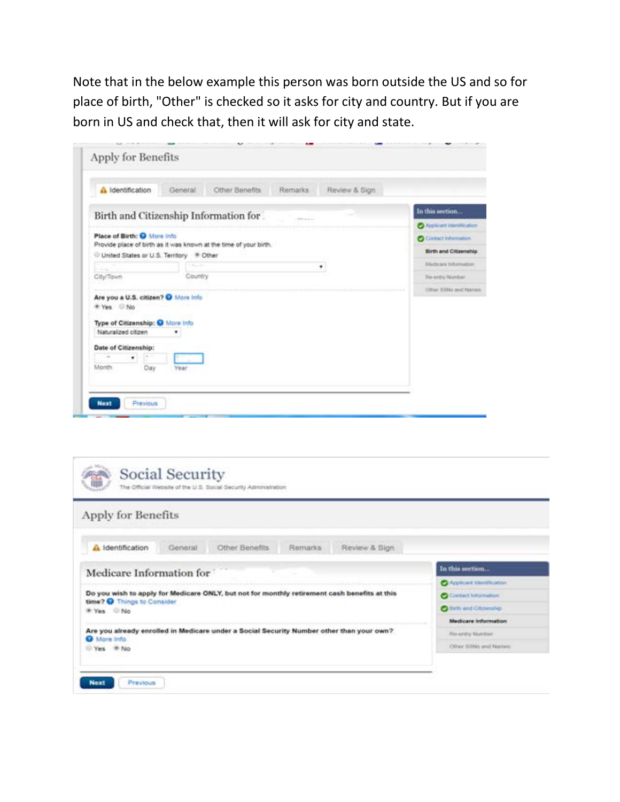Note that in the below example this person was born outside the US and so for place of birth, "Other" is checked so it asks for city and country. But if you are born in US and check that, then it will ask for city and state.

| A Identification                                                                                             | General     | Other Benefits | Remarks        | Review & Sign |                                   |
|--------------------------------------------------------------------------------------------------------------|-------------|----------------|----------------|---------------|-----------------------------------|
| Birth and Citizenship Information for.                                                                       |             |                | <b>COLLANS</b> |               | In this section.                  |
|                                                                                                              |             |                |                |               | <b>C</b> Applicant Identification |
| Place of Birth: C More Info.                                                                                 |             |                |                |               | <b>O</b> Contact Information      |
| Provide place of birth as it was known at the time of your birth.<br>United States or U.S. Territory # Other |             |                |                |               | <b>Birth and Citizenship</b>      |
|                                                                                                              | $1.4 - 10.$ |                |                | ٠             | Medeare Information               |
| City/Town                                                                                                    | Country     |                |                |               | Re-entry Number.                  |
| Are you a U.S. citizen? @ More Info.<br>* Yes D No<br>Type of Citizenship: O More Info.                      |             |                |                |               | Other SSRis and Names             |
| Naturalized citizen                                                                                          | ۷           |                |                |               |                                   |
| Date of Citizenship:<br>٠                                                                                    |             |                |                |               |                                   |
|                                                                                                              |             |                |                |               |                                   |

| Apply for Benefits                                                                                                         |                                   |
|----------------------------------------------------------------------------------------------------------------------------|-----------------------------------|
| Other Benefits<br>Review & Sign<br>General<br>A Identification<br>Remarks                                                  |                                   |
| Medicare Information for                                                                                                   | In this section.                  |
|                                                                                                                            | <b>O</b> Applicant literaturation |
| Do you wish to apply for Medicare ONLY, but not for monthly retirement cash benefits at this<br>time? O Things to Consider | Contact Information               |
| W Yes D No                                                                                                                 | O time and Oldrenship             |
|                                                                                                                            | Medicare Information              |
| Are you already enrolled in Medicare under a Social Security Number other than your own?<br>More Info                      | <b>Re-entry Number</b>            |
| Ves # No                                                                                                                   | Other ESNs and Names              |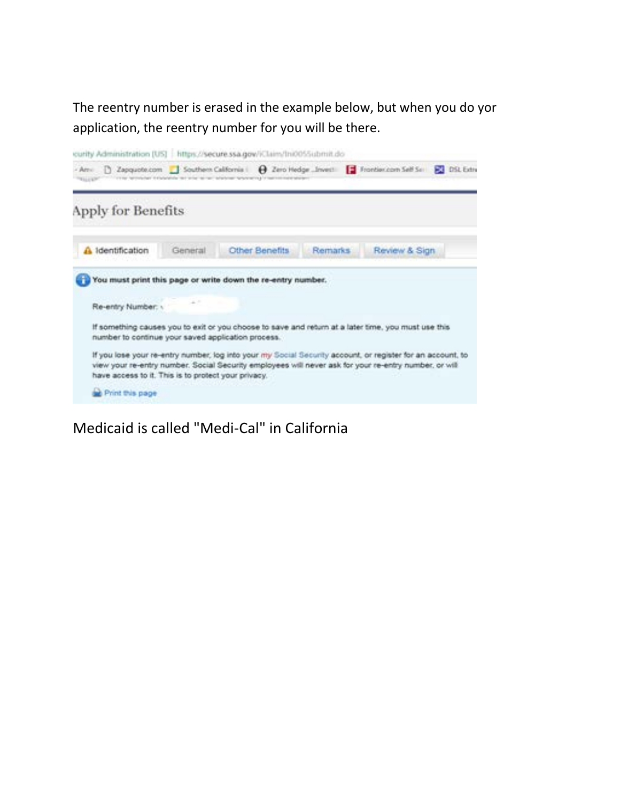The reentry number is erased in the example below, but when you do yor application, the reentry number for you will be there.



Medicaid is called "Medi-Cal" in California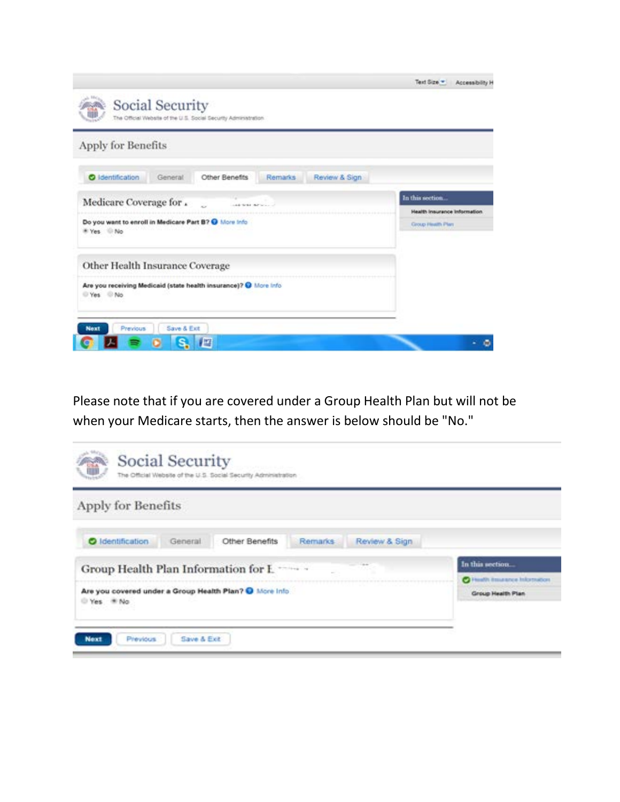| Social Security<br>The Official Website of the U.S. Social Security Administration. | Text Size =<br>Accessibility H |
|-------------------------------------------------------------------------------------|--------------------------------|
| Apply for Benefits                                                                  |                                |
| Other Benefits<br><b>O</b> Identification<br>Remarks.<br>Review & Sign<br>General   |                                |
| Medicare Coverage for .<br>s.<br>LAS WAS IMPOUNDED.                                 | In this section.               |
|                                                                                     | Health Insurance Information   |
| Do you want to enroll in Medicare Part B? O More Info.<br>* Yes No                  | Circup Health Plan             |
| Other Health Insurance Coverage                                                     |                                |
| Are you receiving Medicaid (state health insurance)? @ More Info.<br>Yes No         |                                |
| Save & Ext<br>Previous<br><b>Next</b>                                               |                                |
| 膤                                                                                   |                                |

Please note that if you are covered under a Group Health Plan but will not be when your Medicare starts, then the answer is below should be "No."

| Apply for Benefits                                                                |                              |
|-----------------------------------------------------------------------------------|------------------------------|
| <b>O</b> Identification<br>Other Benefits<br>Remarks.<br>Review & Sign<br>General |                              |
| Group Health Plan Information for Lawrence                                        | In this section.             |
|                                                                                   | Health insurance Information |
| Are you covered under a Group Health Plan? O More Info.<br>Yes * No               | Group Health Plan            |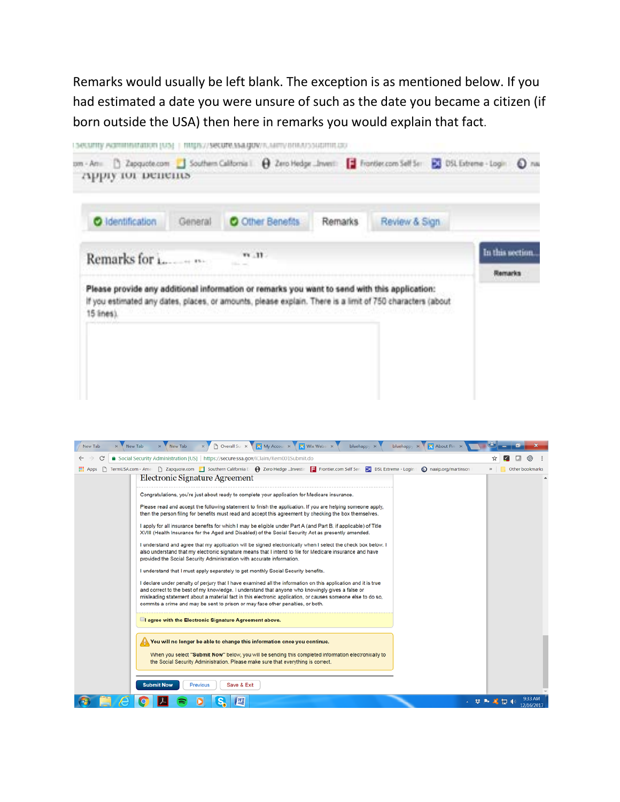Remarks would usually be left blank. The exception is as mentioned below. If you had estimated a date you were unsure of such as the date you became a citizen (if born outside the USA) then here in remarks you would explain that fact.

| $\mathbf{m}$ , $\mathbf{m}$ . |  |                                                                                                                                                                                                           |
|-------------------------------|--|-----------------------------------------------------------------------------------------------------------------------------------------------------------------------------------------------------------|
|                               |  | In this section.                                                                                                                                                                                          |
|                               |  | <b>Ramarks</b>                                                                                                                                                                                            |
|                               |  |                                                                                                                                                                                                           |
|                               |  | Please provide any additional information or remarks you want to send with this application:<br>If you estimated any dates, places, or amounts, please explain. There is a limit of 750 characters (about |

| × New Tab<br>New Tab | D Overall Sur x My Account x Wix Websit x<br>bluehappy x About Pin x<br>$\times$ New Tab<br>bluehappy X                                                                                                                                                                                                                                                                                                                                                                                                                                                                                                                                                                                                                                                                                                                                                                                                                                                                                                                                                           |                       |
|----------------------|-------------------------------------------------------------------------------------------------------------------------------------------------------------------------------------------------------------------------------------------------------------------------------------------------------------------------------------------------------------------------------------------------------------------------------------------------------------------------------------------------------------------------------------------------------------------------------------------------------------------------------------------------------------------------------------------------------------------------------------------------------------------------------------------------------------------------------------------------------------------------------------------------------------------------------------------------------------------------------------------------------------------------------------------------------------------|-----------------------|
| C                    | Social Security Administration [US]   https://secure.ssa.gov/iClaim/Rem001Submit.do                                                                                                                                                                                                                                                                                                                                                                                                                                                                                                                                                                                                                                                                                                                                                                                                                                                                                                                                                                               | ☆<br>ග                |
| <b>III</b> Apps      |                                                                                                                                                                                                                                                                                                                                                                                                                                                                                                                                                                                                                                                                                                                                                                                                                                                                                                                                                                                                                                                                   | Other bookmarks       |
|                      | <b>Electronic Signature Agreement</b>                                                                                                                                                                                                                                                                                                                                                                                                                                                                                                                                                                                                                                                                                                                                                                                                                                                                                                                                                                                                                             |                       |
|                      | Congratulations, you're just about ready to complete your application for Medicare insurance.<br>Please read and accept the following statement to finish the application. If you are helping someone apply,<br>then the person filing for benefits must read and accept this agreement by checking the box themselves.<br>I apply for all insurance benefits for which I may be eligible under Part A (and Part B, if applicable) of Title<br>XVIII (Health Insurance for the Aged and Disabled) of the Social Security Act as presently amended.<br>I understand and agree that my application will be signed electronically when I select the check box below. I<br>also understand that my electronic signature means that I intend to file for Medicare insurance and have<br>provided the Social Security Administration with accurate information.<br>I understand that I must apply separately to get monthly Social Security benefits.<br>I declare under penalty of perjury that I have examined all the information on this application and it is true |                       |
|                      | and correct to the best of my knowledge. I understand that anyone who knowingly gives a false or<br>misleading statement about a material fact in this electronic application, or causes someone else to do so,<br>commits a crime and may be sent to prison or may face other penalties, or both.<br><b>DI agree with the Electronic Signature Agreement above.</b>                                                                                                                                                                                                                                                                                                                                                                                                                                                                                                                                                                                                                                                                                              |                       |
|                      | You will no longer be able to change this information once you continue.                                                                                                                                                                                                                                                                                                                                                                                                                                                                                                                                                                                                                                                                                                                                                                                                                                                                                                                                                                                          |                       |
|                      | When you select "Submit Now" below, you will be sending this completed information electronically to<br>the Social Security Administration. Please make sure that everything is correct.                                                                                                                                                                                                                                                                                                                                                                                                                                                                                                                                                                                                                                                                                                                                                                                                                                                                          |                       |
|                      | <b>Submit Now</b><br>Previous<br>Save & Exit                                                                                                                                                                                                                                                                                                                                                                                                                                                                                                                                                                                                                                                                                                                                                                                                                                                                                                                                                                                                                      |                       |
|                      | 匶                                                                                                                                                                                                                                                                                                                                                                                                                                                                                                                                                                                                                                                                                                                                                                                                                                                                                                                                                                                                                                                                 | 9:33 AM<br>12/16/2017 |